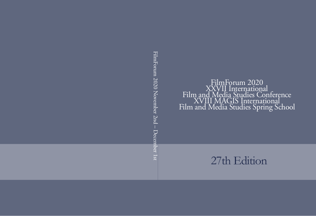FilmForum 2020 XXVII International Film and Media Studies Conference XVIII MAGIS International Film and Media Studies Spring School

27th Edition

FilmForum 2020 November 2nd – December 1st FilmForum 2020 November 2nd – December 1st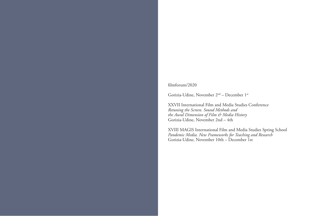filmforum/2020

Gorizia-Udine, November 2nd – December 1st

XXVII International Film and Media Studies Conference *Retuning the Screen. Sound Methods and the Aural Dimension of Film & Media History* Gorizia-Udine, November 2nd – 4th

XVIII MAGIS International Film and Media Studies Spring School *Pandemic Media. New Frameworks for Teaching and Research*  Gorizia-Udine, November 10th – December 1st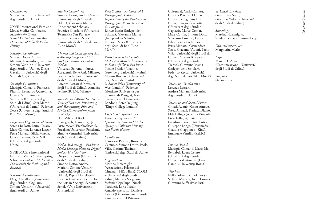### *Coordinator*:

Simone Venturini (Università degli Studi di Udine)

XXVII International Film and Media Studies Conference – *Retuning the Screen. Sound Methods and the Aural Dimension of Film & Media History*

*Scientific Coordinators*: Simone Dotto, Andrea Mariani, Leonardo Quaresima, Simone Venturini (Università degli Studi di Udine), Diego Cavallotti (Università degli Studi di Cagliari)

*Scientific Committee*: Mariapia Comand, Francesco Pitassio, Leonardo Quaresima, Cosetta Saba, Simone Venturini (Università degli Studi di Udine), Sara Martin (Università di Parma), Federico Zecca (Università degli Studi di Bari "Aldo Moro")

*Project and Organisational Board*: Serena Bellotti, Laura Cesaro, Mary Comin, Lorenzo Lazzari, Petra Marlazzi, Silvia Mascia, Greta Plaitano, Paolo Villa (Università degli Studi di Udine).

XVIII MAGIS International Film and Media Studies Spring School – *Pandemic Media. New Frameworks for Teaching and Research*

*Scientific Coordinators*: Diego Cavallotti (Università degli Studi di Cagliari), Simone Venturini (Università degli Studi di Udine)

*Steering Committee*: Simone Dotto, Andrea Mariani (Università degli Studi di Udine), Giovanna Maina (Independent Scholar), Federico Giordano (Università Telematica San Raffaele, Roma), Federico Zecca (Università degli Studi di Bari "Aldo Moro")

*Cinema and Contemporary Arts – Moving-Image Based Art Strategies Within a Pandemic Media*: Vincenzo Estremo (Nuova Accademia Belle Arti, Milano), Francesco Federici (Università degli Studi del Molise), Lorenzo Lazzari (Università degli Studi di Udine), Annalisa Pellino (IULM, Milano)

*The Film and Media Heritage – Time of Distance. Researching and Transmitting Film and Media History under/against Covid-19*: Hans-Michael Bock (Cinegraph, Hamburg), Jan Distelmeyer (Fachhochschule Potsdam/Universität Potsdam), Simone Venturini (Università degli Studi di Udine)

*Media Archaeology* – *Pandemic Media Literacy: Notes on Digital and Archival Activism*: Diego Cavallotti (Università degli Studi di Cagliari), Simone Dotto, Andrea Mariani, Simone Venturini (Università degli Studi di Udine), Pepita Hesselberth (Leiden University Centre for the Arts in Society), Sebastian Scholz (Vrije Universiteit Amsterdam)

*Porn Studies – At Home with Pornography": Cultural Implications of the Pandemic on Pornographic Production and Consumption*: Enrico Biasin (Independent Scholar), Giovanna Maina (Independent Scholar), Federico Zecca (Università degli Studi di Bari "Aldo Moro")

*Post-Cinema – Vulnerable Media and Mediated Intimacies in Times of Global Pandemic* : Nicole Braida (Johannes Gutenberg-Universität Mainz), Alberto Brodesco (Università degli Studi di Trento), Ludovica Fales (University of West London), Federico Giordano (Università per Stranieri di Perugia), Ivan Girina (Brunel University London), Berenike Jung (King's College London)

*VICTOR-E Symposium - Eyewitnessing the Past? Questioning Film and Media Agency in Collective Memory and Public History* 

*Coordinators*: Francesco Pitassio, Rossella Catanese, Simone Dotto, Paolo Villa, Cosimo Tassinari (Università degli Studi di Udine)

*Organisation*: Martina Pizzamiglio (Associazione Palazzo del Cinema – Hiša Filma), SCOM – Università degli Studi di Udine, Martina Scrignaro, Stefania Capellupo, Nicola Narduzzi, Loris Nardin, Arnaldo Spessotto, Daniela Fabrici (Dipartimento di Studi Umanistici e del Patrimonio

Culturale), Carlo Carratù, Cristina Prizzi (CEGO – Università degli Studi di Udine), Diego Cavallotti (Università degli Studi di Cagliari), Marco Comar, Mary Comin, Simone Dotto, Vincenzo Estremo, Ludovica Fales, Francesco Federici, Petra Marlazzi, Gianandrea Sasso, Giacomo Vidoni, Paolo Villa (Università degli Studi di Udine), Alberto Brodesco (Università degli Studi di Trento), Giovanna Maina (Independent Scholar), Federico Zecca (Università degli Studi di Bari "Aldo Moro")

*Screenings Coordinators*: Lorenzo Lazzari, Andrea Mariani (Università degli Studi di Udine)

*Screenings and Special Events*: Ghiath Ayoub, Karim Aïnouz, Saeed Al Batal, Pierluca Ditano, Elda Felluga (Azienda Vinicola Livio Felluga), Letizia Gatti (Reading Bloom Distribution), Giuseppe Longo (Transmedia), Claudio Giapponesi (Kiné), Emanuele Vernillo (ZeLIG Film).

*Limina Award*: Mariapia Comand, Maria Ida Bernabei, Laura Cesaro (Università degli Studi di Udine), Valentina Re (Link Campus University, Roma)

*Websites*: Nello Polesello (Infofactory), Stefano Marotta, Irene Fanizza, Giovanni Buffa (Post Past)

*Technical direction*: Gianandrea Sasso, Giacomo Vidoni (Università degli Studi di Udine)

*Screenings*: Martina Pizzamiglio, Sandro Zanirato, Transmedia Spa

*Editorial supervision*: Margherita Merlo

*Layout*: Marco De Anna (Comunicazione – Università degli Studi di Udine)

*Graphics*: Stefano Ricci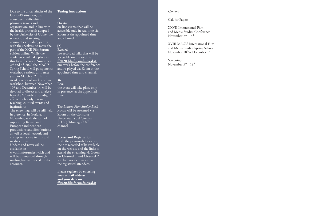Due to the uncertainties of the<br>Covid-19 situation, the<br>Coorsequent difficulties in<br>consequent difficulties in<br>planning travels and<br>organisation, and in line with<br>the health protocols adopted<br>by the University of Udine, th

www.filmforumfestival.it and will be announced through mailing lists and social media accounts.

## **Tuning Instructions**

#### $\mathbf{a}$ **On Air:**

on-line events that will be accessible only in real time via Zoom at the appointed time and channel

# **[•]**

**Record:** talks that will be pre-recorded talks that will be accessible on the website<br>**ff2020.filmforumfestival.it**<br>one week before the conference<br>and re-played via Zoom at the<br>appointed time and channel.

# h **Live:**

the event will take place only in presence, at the appointed time.

The *Limina Film Studies Book*<br>*Award* will be streamed via<br>Zoom on the Consulta<br>Universitaria del Cinema<br>(CUC) 'Montag CUC' channel

**Access and Registration**<br>Both the passwords to access<br>the pre-recorded talks available<br>on the website and the links to<br>attend the streaming via Zoom<br>on **Channel 1** and **Channel 2**<br>will be provided via e-mail to<br>the regist

**Please register by entering your e-mail address and your data on ff2020.filmforumfestival.it**

#### *Contents*

Call for Papers

XXVII International Film and Media Studies Conference November 2nd – 4th

XVIII MAGIS International Film and Media Studies Spring School November  $10^{th}$  – December  $1^{st}$ 

Screenings November  $5<sup>th</sup> - 19<sup>th</sup>$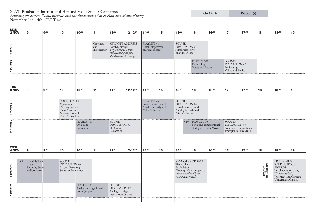XXVII FilmForum International Film and Media Studies Conference *Retuning the Screen. Sound methods and the Aural dimension of Film and Media History* 

November 2nd - 4th. CET Time

**MON** 

**On Air** ^ **Record [•]** 

| 2 NOV                 |      | 9                                                          | 9.30                                  | 10                                                                                                              | $10^{.30}$                                                | 11                                                | $11^{.30}$                                                                                                                        | $12 - 12^{.30}$ | $14^{.30}$                                                                                 | 15                                                                              | 15.30                                                                                                                                         | 16                                             | $16^{.30}$                                                                    | 17                                                        | 17.30      | 18                    | 18.30                                                                                                                                           | 19 |
|-----------------------|------|------------------------------------------------------------|---------------------------------------|-----------------------------------------------------------------------------------------------------------------|-----------------------------------------------------------|---------------------------------------------------|-----------------------------------------------------------------------------------------------------------------------------------|-----------------|--------------------------------------------------------------------------------------------|---------------------------------------------------------------------------------|-----------------------------------------------------------------------------------------------------------------------------------------------|------------------------------------------------|-------------------------------------------------------------------------------|-----------------------------------------------------------|------------|-----------------------|-------------------------------------------------------------------------------------------------------------------------------------------------|----|
|                       |      |                                                            |                                       |                                                                                                                 |                                                           |                                                   |                                                                                                                                   |                 | PLAYLIST #1                                                                                |                                                                                 | SOUND                                                                                                                                         |                                                |                                                                               |                                                           |            |                       |                                                                                                                                                 |    |
| Channel 1   Channel 2 |      |                                                            |                                       |                                                                                                                 |                                                           | Greetings<br>and                                  | <b>KEYNOTE ADDRESS</b><br>Carolyn Birdsall<br>Introduction Why Film and Media<br>Historians should care<br>about Sound Archiving? |                 | <b>Aural Perspectives</b><br>on Film Theory                                                |                                                                                 | DISCUSSION #1<br>Aural Perspectives<br>on Film Theory                                                                                         |                                                |                                                                               |                                                           |            |                       |                                                                                                                                                 |    |
|                       |      |                                                            |                                       |                                                                                                                 |                                                           |                                                   |                                                                                                                                   |                 |                                                                                            |                                                                                 |                                                                                                                                               | PLAYLIST #2<br>Performing<br>Voices and Bodies |                                                                               | SOUND<br>DISCUSSION #2<br>Performing<br>Voices and Bodies |            |                       |                                                                                                                                                 |    |
| <b>TUE</b><br>3 NOV   |      | 9                                                          | 9.30                                  | 10                                                                                                              | $10^{.30}$                                                | 11                                                | $11^{.30}$                                                                                                                        | $12 - 12^{.30}$ | $14^{.30}$                                                                                 | 15                                                                              | $15^{.30}$                                                                                                                                    | 16                                             | $16^{.30}$                                                                    | 17                                                        | $17^{.30}$ | 18                    | 18.30                                                                                                                                           | 19 |
| Channel 1             |      |                                                            |                                       | <b>ROUNDTABLE</b><br>Keywords for<br>the study of Sound<br>Elena Mosconi<br>Massimo Locatelli<br>Paolo Magaudda |                                                           |                                                   |                                                                                                                                   |                 | PLAYLIST #4<br>Sound Before Sound.<br>Aurality in Early and<br>"Silent <sup>"</sup> Cinema |                                                                                 | SOUND<br>DISCUSSION #4<br>Sound Before Sound.<br>Aurality in Early and<br>"Silent"Cinema                                                      |                                                |                                                                               |                                                           |            |                       |                                                                                                                                                 |    |
| Channel 2             |      |                                                            | PLAYLIST#3<br>On Sound<br>Restoration |                                                                                                                 |                                                           | SOUND<br>DISCUSSION #3<br>On Sound<br>Restoration |                                                                                                                                   |                 |                                                                                            | <b>15.45 PLAYLIST #5</b><br>Sonic and compositional<br>strategies in Film Music |                                                                                                                                               |                                                | SOUND<br>DISCUSSION #5<br>Sonic and compositional<br>strategies in Film Music |                                                           |            |                       |                                                                                                                                                 |    |
| <b>WED</b><br>4 NOV   |      | 9                                                          | 9.30                                  | 10                                                                                                              | $10^{.30}$                                                | 11                                                | $11^{.30}$                                                                                                                        | $12 - 12^{.30}$ | $14^{.30}$                                                                                 | 15                                                                              | $15^{.30}$                                                                                                                                    | 16                                             | $16^{.30}$                                                                    | 17                                                        | $17^{.30}$ | 18                    | 18.30                                                                                                                                           | 19 |
| <b>Channel 1</b>      | 8.45 | PLAYLIST #6<br>In sync.<br>Retuning Sound<br>and/on screen |                                       | SOUND<br>DISCUSSION #6<br>In sync. Retuning<br>Sound and/on screen                                              |                                                           |                                                   |                                                                                                                                   |                 |                                                                                            |                                                                                 | <b>KEYNOTE ADDRESS</b><br><b>Trevor Pinch</b><br>In the Moog:<br>The story of how the synth.<br>was invented and how<br>its sound stabilized. |                                                |                                                                               |                                                           |            | Montag Cuc<br>Channel | LIMINA FILM<br><b>STUDIES BOOK</b><br><b>AWARDS</b><br>In collaboration with,<br>"Cinema&Cie",<br>"Montag" and Consulta<br>Universitaria Cinema |    |
| Channel 2             |      |                                                            |                                       |                                                                                                                 | PLAYLIST #7<br>Analog and digital media<br>(sound) scapes |                                                   | SOUND<br>DISCUSSION #7<br>Analog and digital<br>media(sound)scapes                                                                |                 |                                                                                            |                                                                                 |                                                                                                                                               |                                                |                                                                               |                                                           |            |                       |                                                                                                                                                 |    |
|                       |      |                                                            |                                       |                                                                                                                 |                                                           |                                                   |                                                                                                                                   |                 |                                                                                            |                                                                                 |                                                                                                                                               |                                                |                                                                               |                                                           |            |                       |                                                                                                                                                 |    |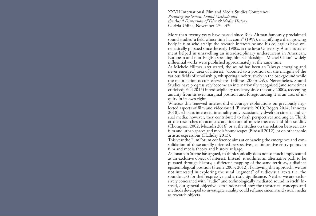XXVII International Film and Media Studies Conference *Retuning the Screen. Sound Methods and the Aural Dimension of Film & Media History* Gorizia-Udine, November  $2<sup>nd</sup> - 4<sup>th</sup>$ 

More than twenty years have passed since Rick Altman famously proclaimed sound studies "a field whose time has come" (1999), magnifying a then growing body in film scholarship: the research interests he and his colleagues have systematically pursued since the early 1980s, at the Iowa University. Altman's statement helped in unravelling an interdisciplinary undercurrent in American, European and non-English speaking film scholarship – Michel Chion's widely influential works were published approximately at the same time.

As Michele Hilmes later stated, the sound has been an "always emerging and never emerged" area of interest, "doomed to a position on the margins of the various fields of scholarship, whispering unobtrusively in the background while the main action occurs elsewhere" (Hilmes 2005: 249). Nevertheless, Sound Studies have progressively become an internationally recognised (and sometimes criticised: Feld 2015) interdisciplinary tendency since the early 2000s, redeeming aurality from its ever-marginal position and foregrounding it as an area of inquiry in its own right.

Whereas this renewed interest did encourage explorations on previously neglected aspects of film and videosound (Birtwistle 2010; Rogers 2014; Iannotta 2018), scholars interested in aurality only occasionally dwelt on cinema and visual media: however, they contributed to fresh perspectives and angles. Think at the researches on acoustic architecture of movie theatres and film studios (Thompson 2002; Meandri 2016) or at the studies on the relation between artfilm and urban spaces and media/soundscapes (Birdsall 2012), or on other sonic artistic expressions (Halliday 2013).

This year the FilmForum conference aims at enhancing the emergence and consolidation of these aurally oriented perspectives, as innovative entry points in film and media theory and history at large.

As Jonathan Sterne has argued, to think sonically does not so much imply sound as an exclusive object of interest. Instead, it outlines an alternative path to be pursued through history, a different mapping of the same territory, a distinct epistemological position (Sterne 2003; 2012). Following this approach, we are not interested in exploring the aural "segment" of audiovisual texts (i.e. the soundtrack) for their expressive and artistic significance. Neither we are exclusively concerned with "audio" and technologically mediated sound in itself. Instead, our general objective is to understand how the theoretical concepts and methods developed to investigate aurality could reframe cinema and visual media as research objects.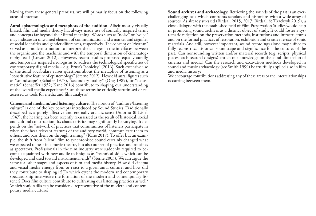Moving from these general premises, we will primarily focus on the following areas of interest:

**Aural epistemologies and metaphors of the audition.** Albeit mostly visually biased, film and media theory has always made use of sonically inspired terms and concepts far beyond their literal meaning. Words such as "noise" or "voice" may indicate an unwanted element of communication and a marker and signifier of social identities and gender differences, respectively. The concept of "rhythm" served as a modernist notion to interpret the changes in the interfaces between the organic and the machinic and with the temporal dimension of cinematography itself (Cowan 2012). However, recent studies proposed equally aurally and temporally inspired neologisms to address the technological specificities of contemporary digital media – e.g. Ernst's "sonicity" (2016). Such extensive use of the aural vocabulary raises questions about the metaphor of listening as a "constitutive feature of epistemology" (Sterne 2012). How did aural figures such as "soundscape" (Schafer 1977), "secondary orality" (Ong 1989), or "acousmatic" (Schaeffer 1952; Kane 2016) contribute to shaping our understanding of the overall media experience? Can these terms be critically scrutinised or reassessed as tools for media and film analysis?

**Cinema and media in/and listening culture.** The notion of "auditory/listening culture" is one of the key concepts introduced by Sound Studies. Traditionally described as a purely affective and eternally archaic sense (Adorno & Eisler 1947), the hearing has been recently re-assessed as the result of historical, social and cultural construction. Its characteristics may significantly be varying. It depends on the "network of practices that communities of listeners participate in when they hear relevant features of the auditory world, communicate them to others, and pass them on through training" (Kane 2017). To offer but an example, the shift from "silent" film to synchronised sound certainly changed what we expected to hear in a movie theatre, but also our set of practices and routines as spectators. Professionals in the film industry were suddenly required to become acquainted with new audile techniques as "technical skills which can be developed and used toward instrumental ends" (Sterne 2003). We can argue the same for other stages and aspects of film and media history. How did cinema and visual media emerge from or react to a given aural culture, and how did they contribute to shaping it? To which extent the modern and contemporary spectatorship interweave the formation of the modern and contemporary listener? Does film culture contribute to cultivating our listening practices as well? Which sonic skills can be considered representative of the modern and contemporary media culture?

**Sound archives and archaeology.** Retrieving the sounds of the past is an everchallenging task which confronts scholars and historians with a wide array of sources. As already stressed (Birdsall 2015, 2017; Birdsall & Tkackzyk 2019), a close dialogue with the established field of Film Preservation Studies would help in promoting sound archives as a distinct object of study. It could foster a systematic reflection on the preservation methods, institutions and infrastructures and on the formal practices of restoration, exhibition and creative re-use of sonic materials. And still, however important, sound recordings alone may suffice to fully reconstruct historical soundscape and significance for the cultures of the past. Can nonsounding written and/or material records (e.g. scripts, physical places, architectural designs) enrich our knowledge on the aural dimension of cinema and media? Can the research and excavation methods developed in sound and music archaeology (see Smith 1999) be fruitfully applied also in film and media history?

We encourage contributions addressing any of these areas or the interrelationships occurring between them.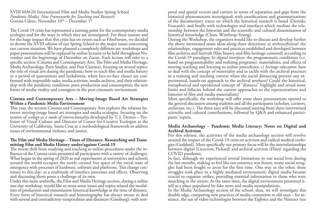XVIII MAGIS International Film and Media Studies Spring School *Pandemic Media. New Frameworks for Teaching and Research*  Gorizia-Udine, November  $10^{th}$  – December  $1^{st}$ 

The Covid-19 crisis has represented a turning point for the contemporary media ecologies and for the ways in which they are investigated. For these reasons and for the huge impact that this crisis has on events such as FilmForum, we decided to devote the XVIII edition of our Spring School to the major issues concerning our current situation. We have planned a completely different set: workshops and paper presentations will be replaced by online lectures to be held throughout November and the beginnings of December on Zoom. Each lecture will refer to a specific section (Cinema and Contemporary Arts, The Film and Media Heritage, Media Archaeology, Porn Studies, and Post-Cinema), focusing on several topics: the role of visual arts during the pandemic; how to teach film and media history in a period of quarantines and lockdowns, when face-to-face classes are confronted with impossible tasks; media activism, media archives, and their relationship with the pandemic condition; porn production and consumption; the new forms of media virality and contagion in the post-cinematic environment.

### **Cinema and Contemporary Arts – Moving-Image Based Art Strategies Within a Pandemic Media Environment**

This year, the section Cinema and Contemporary Arts explores the relation between moving-image based art strategies and media ecologies, focusing on the notion of *ecology as a mode of intersectionality* developed by T. J. Demos – Professor of Visual Culture and Director of Center for Creative Ecologies at the University of California, Santa Cruz as a methodological framework to address issues of environmental violence and justice.

### **The Film and Media Heritage – Times of Distance. Researching and Transmitting Film and Media History under/against Covid-19**

The recent shift from studying and teaching to online procedures under the influence of the Corona crisis presented all participants with a variety of challenges. What began in the spring of 2020 as real experiments at universities and schools around the world occupies the newly created free space of the social state of emergency with processes of hardware, software and platforms. This change continues to this day: as a multitude of interface processes and effects. Observing and discussing them poses a challenge of its own.

Under this main umbrella, the Film and Media Heritage section, during a online one-day workshop, would like to stress some issues and topics related the modalities of production and transmission historical knowledge at the time of distance. Every form of historical research and historiography has always meant to deal with several and contradictory temporalities and distances (Ginzburg); with tem-

poral and spatial vectors and carriers in terms of separation and gaps from the historical phenomenons investigated; with stratifications and grammatizations of the documentary traces on which the historical research is based (Derrida, Foucault), and finally with technologies and interfaces which mediate the relationship between the historian and the scientific and cultural dissemination of historical knowledge (Chun, Winthrop-Young).

During the Workshop, the organizers would like to discuss and develop further the above mentioned main ideas along three directions: a) *archives/festival*: the relationships, engagement rules and practices established and developed between film archives and festivals (film history and film heritage-centered) according to the Covid-19 paradigm; b) *digital interfaces*: the programmatic conditions (i.e. based on programmability and realizing programs), materialities, and effects of moving teaching and learning to online procedures; c) *heritage education*: how to deal with the concept of materiality and to tackle with the archival practices in a training and teaching context when the social distancing prevent any experimental, hands-on approach to the archival artefacts? Could the historical, metaphorical and operational concept of "distance" highlight and reveal some limits and fallacies behind the current approaches to the representations and histories of film and media materialities?

More specifically, the workshop will offer some short presentations opened to the general discussion among students and all the participants (scholars, curators, archivists, etc.). The three axes will be discussed starting from three intertwined scientific and cultural contributions, followed by Q&A and enhanced participants' inputs.

### **Media Archaeology – Pandemic Media Literacy: Notes on Digital and Archival Activism**

For this edition, the activities of the media archaeology section will revolve around the impact of the Covid-19 crisis on activism and radical medical ecologies (Goddard). More specifically our primary focus will be the interrelationships between digital (Lieuvrow, Pickard) and archival activism (Flinn) regarding the COVID pandemic.

In fact, although we experienced several limitations in our social lives during the last months, making us feel like our existence was frozen, many social struggles had been fought or arose for the first time. One way or the other, these struggles took place in a highly mediated environment: digital media became crucial to organize strikes, providing essential information to those who were marching in the streets. At the same time, the digital environment presented itself as a place populated by fake news and media manipulations.

In the Media Archaeology section of the school, thus, we will investigate this double edge, comparing new practices of media contention to old ones – for instance, the use of video technologies between the Eighties and the Nineties (see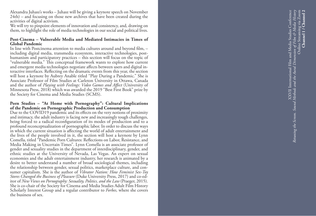Alexandra Juhasz's works – Juhasz will be giving a keynote speech on November 24th) – and focusing on those new archives that have been created during the activities of digital activism.

We will try to pinpoint elements of innovation and consistency, and, drawing on them, to highlight the role of media technologies in our social and political lives.

### **Post-Cinema – Vulnerable Media and Mediated Intimacies in Times of Global Pandemic**

In line with Postcinema attention to media cultures around and beyond film, – including digital media, transmedia ecosystem, interactive technologies, posthumanism and participatory practices – this section will focus on the topic of "vulnerable media." This conceptual framework wants to explore how current and emergent media technologies negotiate affects between users and digital interactive interfaces. Reflecting on the dramatic events from this year, the section will host a keynote by Aubrey Anable titled "Play During a Pandemic." She is Associate Professor of Film Studies at Carleton University in Ottawa, Canada and the author of *Playing with Feelings: Video Games and Affect* (University of Minnesota Press, 2018) which was awarded the 2019 "Best First Book" prize by the Society for Cinema and Media Studies (SCMS).

### **Porn Studies – "At Home with Pornography": Cultural Implications of the Pandemic on Pornographic Production and Consumption**

Due to the COVID19 pandemic and its effects on the very notions of proximity and intimacy, the adult industry is facing new and increasingly tough challenges, being forced to a radical reconfiguration of its modes of production and to a profound reconceptualization of pornographic labor. In order to discuss the ways in which the current situation is affecting the world of adult entertainment and the lives of the people involved in it, the section will host a keynote by Lynn Comella, titled "Pandemic Porn Cultures: Reflections on Labor, Resistance, and Media Making in Uncertain Times". Lynn Comella is an associate professor of gender and sexuality studies in the department of interdisciplinary, gender, and ethnic studies at the University of Nevada, Las Vegas. An expert on sexual economies and the adult entertainment industry, her research is animated by a desire to better understand a number of broad sociological themes, including the relationship between gender, sexual politics, marketplace culture, and consumer capitalism. She is the author of *Vibrator Nation: How Feminist Sex-Toy Stores Changed the Business of Pleasure* (Duke University Press, 2017) and co-editor of *New Views on Pornography: Sexuality, Politics, and the Law* (Praeger, 2015). She is co-chair of the Society for Cinema and Media Studies Adult Film History Scholarly Interest Group and a regular contributor to *Forbes,* where she covers the business of sex.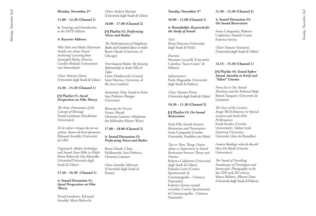#### **Monday, November 2nd**

#### **11.00 – 12.30 (Channel 1)**

^ *Greetings and Introduction to the XXVII Edition*

#### ^ **Keynote Address:**

*Why Film and Media Historians should care about Sound Archiving? Learning from Entangled Media Histories.* Carolyn Birdsall (Universiteit van Amsterdam)

*Chair*: Simone Dotto (Università degli Studi di Udine)

#### **14.30 – 15.30 (Channel 1)**

#### **[•] Playlist #1:** *Aural Perspectives on Film Theory*

*The Sonic Dimensions of the Concept of Montage*  Trond Lundemo (Stockholm Universiteit)

*De la valeur critique du son au cinéma. Autour du bruit éprouvant*  Édouard Arnoldy (Université de Lille)

*Urgerausch. Media Archeology and Sound: from Rilke to Kittler* Marie Rebecchi (Aix-Marseille Université/Università degli Studi di Udine)

#### **15.30 – 16.30**  (**Channel 1)**

#### ^ **Sound Discussion #1:** *Aural Perspectives on Film Theory*

Trond Lundemo, Édouard Arnoldy, Marie Rebecchi

*Chair*: Andrea Mariani (Università degli Studi di Udine)

**16.00 – 17.00 (Channel 2)**

#### **[•] Playlist #2:** *Performing Voices and Bodies*

*The Performativity of Polyphony: Radio and Gendered Space in India*  Ronit Ghosh (University of Chicago)

*Ventriloquial Bodies: Re-framing Ephemerality in Artists' Film & Video*  Claire Holdsworth (Central Saint Martins, University of the Arts London)

*Acousmatic Foley: Sound-in-Scène*  Sara Pinheiro (Bangor University)

*Retuning the Viscera. Ocean's Breath*  Christina Lammer (Akademie der bildenden Künste Wien)

#### **17.00 – 18.00 (Channel 2)**

#### ^ **Sound Discussion #2:** *Performing Voices and Bodies*

Ronit Ghosh, Claire Holdsworth, Sara Pinheiro, Christina Lammer

*Chair*: Jennifer Malvezzi (Università degli Studi di Parma)

**Tuesday, November 3rd** 

**10.00 – 11.00 (Channel 1)**

^ **Roundtable:** *Keywords for the Study of Sound*

#### *Voice* Elena Mosconi (Università degli Studi di Pavia)

*Emotion* Massimo Locatelli (Università Cattolica "Sacro Cuore" di Milano)

*Infrastructure* Paolo Magaudda (Università degli Studi di Padova)

*Chair*: Simone Dotto (Università degli Studi di Udine)

#### **10.30 – 11.30 (Channel 2)**

#### **[•] Playlist #3:** *On Sound Restoration*

*Early Film Sounds between Restoration and Presentation*  Sonia Campanini (Goethe-Universität, Frankfurt am Main)

*Two or Three Things I know about it: Experiences in Sound Restoration between Theory and Practice.*  Roberto Calabretto (Università degli Studi di Udine), Daniela Currò (Centro Sperimentale di Cinematografia – Cineteca Nazionale), Federico Savina (sound recordist, Centro Sperimentale di Cinematografia - Cineteca Nazionale)

#### **11.30 – 12.30 (Channel 2)**

#### ^ **Sound Discussion #3:**  *On Sound Restoration*

Sonia Campanini, Roberto Calabretto, Daniela Currò, Federico Savina

*Chair*: Simone Venturini (Università degli Studi di Udine)

#### **14.15 – 15.30 (Channel 1)**

#### **[•] Playlist #4:** *Sound before Sound. Aurality in Early and "Silent" Cinema*

*From Ear to Toe: Sound Machines and the Technical Body*  Benoît Turquety (Universitè de Lausanne)

*The Voice of the Lecturer. Image-Word Relations in Optical Lantern and Early Film Performances*  Frank Kessler (Utrecht Universiteit), Sabine Lenk (Antwerp University - Universitè Libre de Bruxelles)

*Lantern Readings: what do they do?*  Nico De Klerk (Utrecht Universiteit)

*The Sound of Travelling. Soundscapes of Travelogues and Stereoscopic Photography in the late XIX-early XX century.*  Marco Bellano, Alberto Zotti (Università degli Studi di Padova)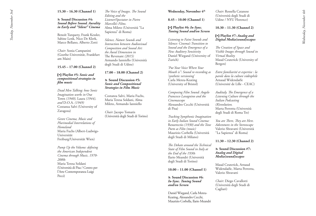**15.30 – 16.30 (Channel 1)** 

^ **Sound Discussion #4:**  *Sound Before Sound. Aurality in Early and "Silent" Cinema*

Benoît Turquety, Frank Kessler, Sabine Lenk, Nico De Klerk, Marco Bellano, Alberto Zotti

*Chair*: Sonia Campanini (Goethe-Universität, Frankfurt am Main)

#### **15.45 – 17.00 (Channel 2)**

#### **[•] Playlist #5:** *Sonic and compositional strategies in film music*

*Dead Men Talking: how Sonic Imagination works in* Our Town *(1940),* Laura *(1944), and* D.O.A. *(1949)*  Costanza Salvi (University of Zaragoza)

*Genre Cinema, Music and Plurimedial Interrelations of Homeland*  Maria Fuchs (Albert-Ludwigs-Universität Freiburg/Universität Wien)

*Pump Up the Volume: defining the American Independent Cinema through Music, 1970- 2000s*  Maria Teresa Soldani (Università di Pisa / Centro per l'Arte Contemporanea Luigi Pecci)

*The Voice of Images. The Sound Editing and the Listener/Spectator in Pietro Marcello's Films.*  Alma Mileto (Università "La Sapienza" di Roma)

*Silence, Nature Sounds and Interaction between Audiovisual Composition and Sound Art: the Aural Dimension in*  The Revenant *(2015)*  Armando Ianniello (Università degli Studi di Udine)

#### **17.00 – 18.00 (Channel 2)**

^ **Sound Discussion #5:**  *Sonic and Compositional Strategies in Film Music*

Costanza Salvi, Maria Fuchs, Maria Teresa Soldani, Alma Mileto, Armando Ianniello

*Chair*: Jacopo Tomatis (Università degli Studi di Torino) **Wednesday, November 4th**

**8.45 – 10.00 (Channel 1)**

#### **[•] Playlist #6:** *In-Sync. Tuning Sound and/on Screen*

*Listening to Faint Sounds and Silence: Cinema's Transition to Sound and the Emergence of a New Auditory Sensitivity*  Daniel Wiegand (University of Zurich)

*'Put Your Voice Where Your Mouth is": Sound re-recording as 'synthetic versioning'*  Carla Mereu-Keating (University of Bristol)

*Composing Film Sound: Angelo Francesco Lavagnino and the Cinemascope*  Alessandro Cecchi (Università di Pisa)

*Tracking Symphonic Imagination in Early Italian Sound Cinema:*  Resurrectio *(1930) and the Tone Poem as Film (music)*  Maurizio Corbella (Università degli Studi di Milano)

*The Debate around the Technical State of Film Sound in Italy at the End of the 1930s*  Ilario Meandri (Università degli Studi di Torino)

#### **10.00 – 11.00 (Channel 1)**

^ **Sound Discussion #6:**  *In-Sync. Tuning Sound and/on Screen*

Daniel Wiegand, Carla Mereu-Keating, Alessandro Cecchi, Maurizio Corbella, Ilario Meandri Udine / NYU Florence) **10.30 – 11.30 (Channel 2)** 

*Chair*: Rossella Catanese (Università degli Studi di

#### **[•] Playlist #7:** *Analog and Digital Media(sound)scapes*

*The Creation of Space and Visible Images through Sound in Virtual Reality*  Maud Ceuterick (University of Bergen)

*Entre familiarité et expertise : la parole dans la culture vidéophile*  Arnaud Widendaële (Université de Lille - CEAC)

*Auditaly. The Emergence of a Listening Culture through the Italian Podcasting (R)evolution.*  Marta Perrotta (Università degli Studi di Roma Tre)

*You are There, They are Here. Adventures in the Stereoscape*  Valerio Sbravatti (Università "La Sapienza" di Roma)

#### **11.30 – 12.30 (Channel 2)**

#### ^ **Sound Discussion #7:**  *Analog and Digital Media(sound)scapes*

Maud Ceuterick, Arnaud Widendaële, Marta Perrotta, Valerio Sbravatti

*Chair*: Diego Cavallotti (Università degli Studi di Cagliari)

Tuesday, November 3rd *Tuesday, November 3rd*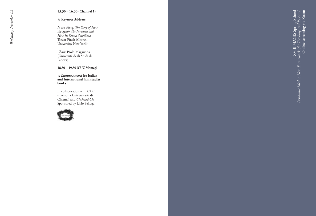### **15.30 – 16.30 (Channel 1)**

### ^ **Keynote Address:**

Wednesday, November 4th *Wednesday, November 4th*

*In the Moog: The Story of How the Synth Was Invented and How Its Sound Stabilized* Trevor Pinch (Cornell University, New York)

*Chair*: Paolo Magaudda (Università degli Studi di Padova)

**18.30 – 19.30 (CUC Montag)** 

^ *Limina Award* **for Italian and International film studies books** 

In collaboration with CUC (Consulta Universitaria di Cinema) and *Cinéma&Cie* Sponsored by Livio Felluga

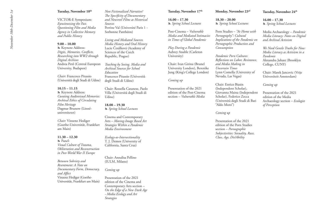*November 10th-December 1st*

Vovember 10th-December 1st

## **Tuesday, November 10th**

VICTOR-E Symposium: *Eyewitnessing the Past. Questioning Film and Media Agency in Collective Memory and Public History*

### **9.00 – 10.00**

 $\mathbbmss{N}$ Keynote Address: *Digits, Memories, Conflicts. Researching into WW2 through Digital Archives* Andrea Pető (Central European University, Budapest)

*Chair*: Francesco Pitassio (Università degli Studi di Udine)

### **10.15 – 11.15**

^ Keynote Address: *Curating Audiovisual Memories: Archival Ethics of Circulating Film Heritage* Dagmar Brunow (Linnéuniversitetet)

*Chair*: Vinzenz Hediger (Goethe-Universität, Frankfurt am Main)

**11.30 – 12.30** ^ Panel: *Visual Culture of Trauma, Obliteration and Reconstruction in Post-World War II Europe*

*Between Sobriety and Resentment: A Note on Documentary Form, Democracy, and Affect* Vinzenz Hediger (Goethe-Universität, Frankfurt am Main)

*Non Fictionalized Narrative? The Specificity of Documentary and Newsreel Films as Historical Sources* Perrine Val (Université Paris 1 -Sorbonne Panthéon)

*Living and Mediated Sources. Media History and Oral History* Lucie Česálková (Academy of Sciences of the Czech Republic, Prague)

*Teaching by Seeing. Media and Archival Sources for School Education*

Francesco Pitassio (Università degli Studi di Udine)

Chair: Rossella Catanese, Paolo Villa (Università degli Studi di Udine)

**18.00 – 19.30** ^ *Spring School Lectures*

Cinema and Contemporary Arts – *Moving-Image Based Art Strategies Within a Pandemic Media Environment* 

*Ecology-as-Intersectionality*  T. J. Demos (University of California, Santa Cruz)

Chair: Annalisa Pellino (IULM, Milano)

*Coming up* 

Presentation of the 2021 edition of the Cinema and Contemporary Arts section – *On the Edge of a New Dark Age - Media Ecology and Art Strategies* 

### **Tuesday, November 17th**

**16.00 – 17.30** ^ *Spring School Lectures*

Post-Cinema – *Vulnerable Media and Mediated Intimacies in Times of Global Pandemic* 

*Play During a Pandemic*  Aubrey Anable (Carleton University)

Chair: Ivan Girina (Brunel University London), Berenike

*Coming up* 

Jung (King's College London)

Presentation of the 2021 edition of the Post-Cinema section – *Vulnerable Media* 

**Monday, November 23rd**

### **18.30 – 20.00** ^ *Spring School Lectures*

Porn Studies – *"At Home with Pornography": Cultural Implications of the Pandemic on Pornographic Production and Consumption*

*Pandemic Porn Cultures: Reflections on Labor, Resistance, and Media Making in Uncertain Times*  Lynn Comella (University of Nevada, Las Vegas)

Chair: Enrico Biasin (Independent Scholar), Giovanna Maina (Independent Scholar), Federico Zecca (Università degli Studi di Bari "Aldo Moro")

### *Coming up*

Presentation of the 2021 edition of the Porn Studies section – *Pornographic Subjectivities: Sexuality, Race, Class, Age, Dis/Ability* 

### **Tuesday, November 24th**

**16.00 – 17.30** ^ *Spring School Lectures* 

Media Archaeology – *Pandemic Media Literacy: Notes on Digital and Archival Activism*

*We Need Gentle Truths for Now: Media Literacy as Activism in a Pandemic*

Alexandra Juhasz (Brooklyn College, CUNY)

Chair: Marek Jancovic (Vrije Universiteit Amsterdam)

### *Coming up*

Presentation of the 2021 edition of the Media Archaeology section – *Ecologies of Perception*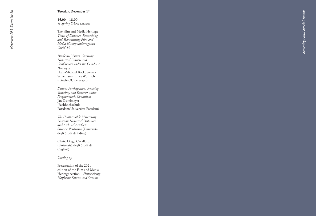#### **Tuesday, December 1st**

**15.00 – 18.00** ^ *Spring School Lectures* 

The Film and Media Heritage - *Times of Distance. Researching and Transmitting Film and Media History under/against Covid-19*

*Pandemic Venues. Curating Historical Festival and Conferences under the Covid-19 Paradigm*  Hans-Michael Bock, Swenja Schiemann, Erika Wottrich (Cinefest/CineGraph)

*Distant Participation. Studying, Teaching, and Research under Programmatic Conditions*  Jan Distelmeyer (Fachhochschule Potsdam/Universität Potsdam)

*The Unattainable Materiality. Notes on Historical Distances and Archival Artefacts*  Simone Venturini (Università degli Studi di Udine)

Chair: Diego Cavallotti (Università degli Studi di Cagliari)

*Coming up* 

Presentation of the 2021 edition of the Film and Media Heritage section – *Historicizing Platforms: Sources and Streams*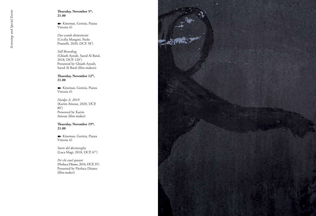Thursday, November 5<sup>th</sup>, **21.00** 

Kinemax, Gorizia, Piazza Vittoria 41

*Due scatole dimenticate*  (Cecilia Mangini, Paolo Pisanelli, 2020, DCP, 58')

*Still Recording*  (Ghiath Ayoub*,* Saeed Al Batal, 2018*,* DCP, 120') Presented by Ghiath Ayoub, Saeed Al Batal (film-makers)

#### **Thursday, November 12th, 21.00**

Kinemax, Gorizia, Piazza Vittoria 41

*Nardjes A. 2019*  (Karim Aïnouz, 2020, DCP, 80') Presented by Karim Aïnouz (film-maker)

#### Thursday, November 19<sup>th</sup>, **21.00**

Kinemax, Gorizia, Piazza Vittoria 41

*Storie del dormiveglia*  (Luca Magi, 2018, DCP, 67')

*Per chi vuol sparare* (Pierluca Ditano, 2016, DCP, 35') Presented by Pierluca Ditano (film-maker)

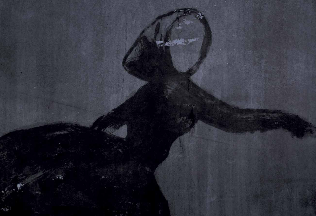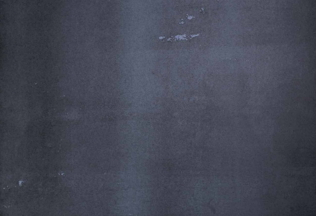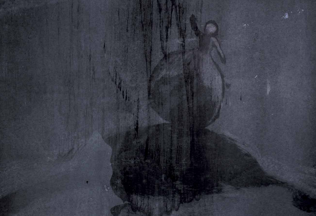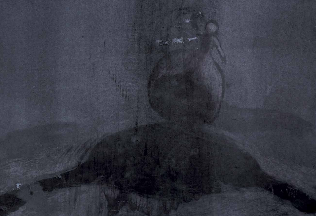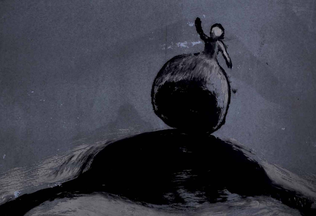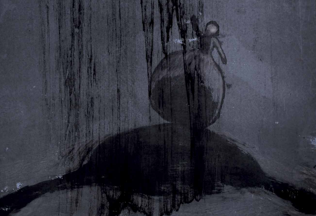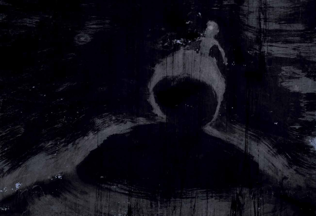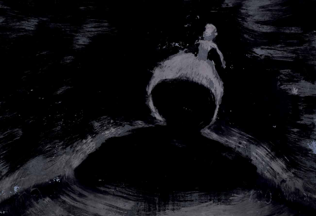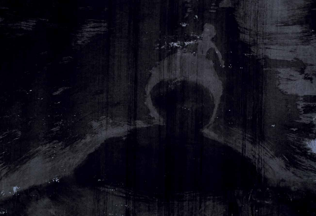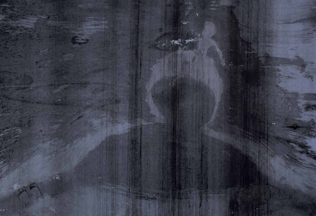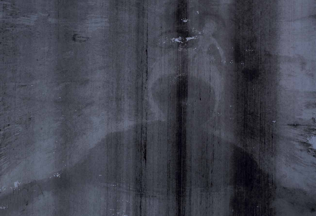